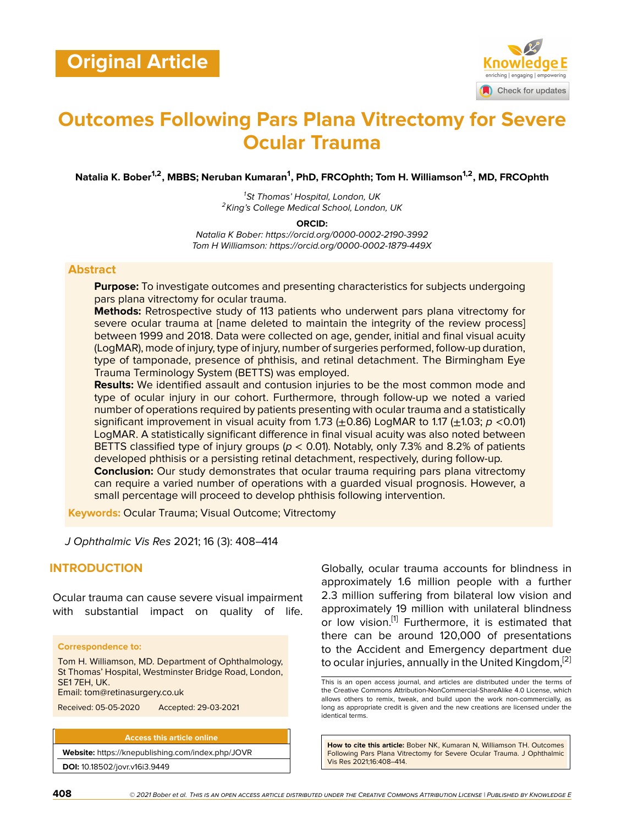

# **Outcomes Following Pars Plana Vitrectomy for Severe Ocular Trauma**

**Natalia K. Bober1,2, MBBS; Neruban Kumaran<sup>1</sup> , PhD, FRCOphth; Tom H. Williamson1,2, MD, FRCOphth**

*<sup>1</sup>St Thomas' Hospital, London, UK <sup>2</sup>King's College Medical School, London, UK*

**ORCID:**

*Natalia K Bober: https://orcid.org/0000-0002-2190-3992 Tom H Williamson: https://orcid.org/0000-0002-1879-449X*

#### **Abstract**

**Purpose:** To investigate outcomes and presenting characteristics for subjects undergoing pars plana vitrectomy for ocular trauma.

**Methods:** Retrospective study of 113 patients who underwent pars plana vitrectomy for severe ocular trauma at [name deleted to maintain the integrity of the review process] between 1999 and 2018. Data were collected on age, gender, initial and final visual acuity (LogMAR), mode of injury, type of injury, number of surgeries performed, follow-up duration, type of tamponade, presence of phthisis, and retinal detachment. The Birmingham Eye Trauma Terminology System (BETTS) was employed.

**Results:** We identified assault and contusion injuries to be the most common mode and type of ocular injury in our cohort. Furthermore, through follow-up we noted a varied number of operations required by patients presenting with ocular trauma and a statistically significant improvement in visual acuity from 1.73  $(\pm 0.86)$  LogMAR to 1.17  $(\pm 1.03; p < 0.01)$ LogMAR. A statistically significant difference in final visual acuity was also noted between BETTS classified type of injury groups (*p* < 0.01). Notably, only 7.3% and 8.2% of patients developed phthisis or a persisting retinal detachment, respectively, during follow-up. **Conclusion:** Our study demonstrates that ocular trauma requiring pars plana vitrectomy can require a varied number of operations with a guarded visual prognosis. However, a small percentage will proceed to develop phthisis following intervention.

**Keywords:** Ocular Trauma; Visual Outcome; Vitrectomy

*J Ophthalmic Vis Res* 2021; 16 (3): 408–414

#### **INTRODUCTION**

Ocular trauma can cause severe visual impairment with substantial impact on quality of life.

#### **Correspondence to:**

Tom H. Williamson, MD. Department of Ophthalmology, St Thomas' Hospital, Westminster Bridge Road, London, SE1 7EH, UK.

Email: tom@retinasurgery.co.uk

Received: 05-05-2020 Accepted: 29-03-2021

**Access this article online Website:** <https://knepublishing.com/index.php/JOVR> **DOI:** 10.18502/jovr.v16i3.9449

Globally, ocular trauma accounts for blindness in approximately 1.6 million people with a further 2.3 million suffering from bilateral low vision and approximately 19 million with unilateral blindness or low vision.<sup>[[1](#page-6-0)]</sup> Furthermore, it is estimated that there can be around 120,000 of presentations to the Accident and Emergency department due to ocular injuries, annually in the United Kingdom.<sup>[[2](#page-6-1)]</sup>

**How to cite this article:** Bober NK, Kumaran N, Williamson TH. Outcomes Following Pars Plana Vitrectomy for Severe Ocular Trauma. J Ophthalmic Vis Res 2021;16:408–414.

This is an open access journal, and articles are distributed under the terms of the Creative Commons Attribution-NonCommercial-ShareAlike 4.0 License, which allows others to remix, tweak, and build upon the work non-commercially, as long as appropriate credit is given and the new creations are licensed under the identical terms.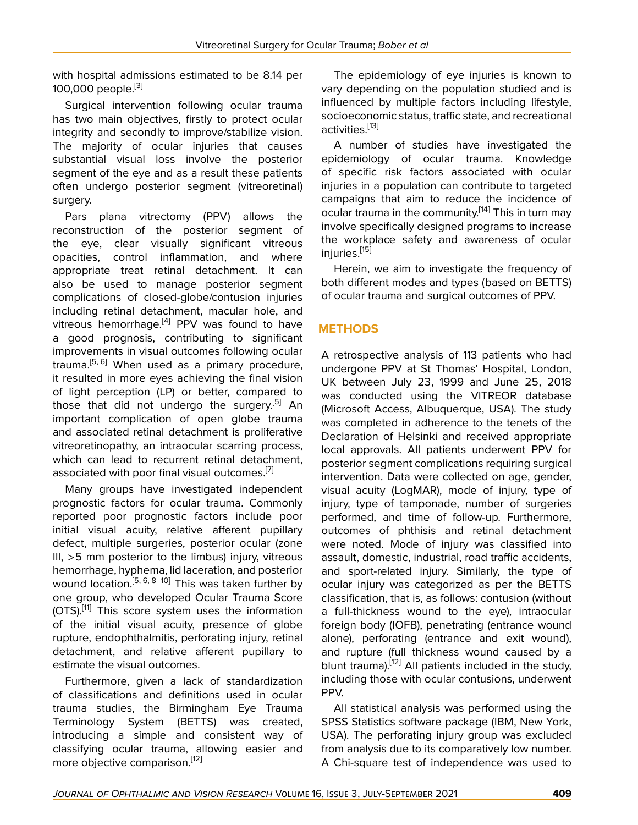with hospital admissions estimated to be 8.14 per 100,000 people.<sup>[[3](#page-6-2)]</sup>

Surgical intervention following ocular trauma has two main objectives, firstly to protect ocular integrity and secondly to improve/stabilize vision. The majority of ocular injuries that causes substantial visual loss involve the posterior segment of the eye and as a result these patients often undergo posterior segment (vitreoretinal) surgery.

Pars plana vitrectomy (PPV) allows the reconstruction of the posterior segment of the eye, clear visually significant vitreous opacities, control inflammation, and where appropriate treat retinal detachment. It can also be used to manage posterior segment complications of closed-globe/contusion injuries including retinal detachment, macular hole, and vitreous hemorrhage.<sup>[\[4\]](#page-6-3)</sup> PPV was found to have a good prognosis, contributing to significant improvements in visual outcomes following ocular trauma.<sup>[\[5,](#page-6-4) [6\]](#page-6-5)</sup> When used as a primary procedure, it resulted in more eyes achieving the final vision of light perception (LP) or better, compared to those that did not undergo the surgery.<sup>[[5](#page-6-4)]</sup> An important complication of open globe trauma and associated retinal detachment is proliferative vitreoretinopathy, an intraocular scarring process, which can lead to recurrent retinal detachment, associated with poor final visual outcomes.<sup>[[7\]](#page-6-6)</sup>

Many groups have investigated independent prognostic factors for ocular trauma. Commonly reported poor prognostic factors include poor initial visual acuity, relative afferent pupillary defect, multiple surgeries, posterior ocular (zone III,  $>5$  mm posterior to the limbus) injury, vitreous hemorrhage, hyphema, lid laceration, and posterior wound location.[[5](#page-6-4), [6,](#page-6-5) [8–](#page-6-7)[10\]](#page-6-8) This was taken further by one group, who developed Ocular Trauma Score  $(OTS).$ <sup>[[11\]](#page-6-9)</sup> This score system uses the information of the initial visual acuity, presence of globe rupture, endophthalmitis, perforating injury, retinal detachment, and relative afferent pupillary to estimate the visual outcomes.

Furthermore, given a lack of standardization of classifications and definitions used in ocular trauma studies, the Birmingham Eye Trauma Terminology System (BETTS) was created, introducing a simple and consistent way of classifying ocular trauma, allowing easier and more objective comparison.<sup>[\[12](#page-6-10)]</sup>

The epidemiology of eye injuries is known to vary depending on the population studied and is influenced by multiple factors including lifestyle, socioeconomic status, traffic state, and recreational activities.<sup>[[13\]](#page-6-11)</sup>

A number of studies have investigated the epidemiology of ocular trauma. Knowledge of specific risk factors associated with ocular injuries in a population can contribute to targeted campaigns that aim to reduce the incidence of ocular trauma in the community.<sup>[[14](#page-6-12)]</sup> This in turn may involve specifically designed programs to increase the workplace safety and awareness of ocular injuries.<sup>[[15\]](#page-6-13)</sup>

Herein, we aim to investigate the frequency of both different modes and types (based on BETTS) of ocular trauma and surgical outcomes of PPV.

# **METHODS**

A retrospective analysis of 113 patients who had undergone PPV at St Thomas' Hospital, London, UK between July 23, 1999 and June 25, 2018 was conducted using the VITREOR database (Microsoft Access, Albuquerque, USA). The study was completed in adherence to the tenets of the Declaration of Helsinki and received appropriate local approvals. All patients underwent PPV for posterior segment complications requiring surgical intervention. Data were collected on age, gender, visual acuity (LogMAR), mode of injury, type of injury, type of tamponade, number of surgeries performed, and time of follow-up. Furthermore, outcomes of phthisis and retinal detachment were noted. Mode of injury was classified into assault, domestic, industrial, road traffic accidents, and sport-related injury. Similarly, the type of ocular injury was categorized as per the BETTS classification, that is, as follows: contusion (without a full-thickness wound to the eye), intraocular foreign body (IOFB), penetrating (entrance wound alone), perforating (entrance and exit wound), and rupture (full thickness wound caused by a blunt trauma).<sup>[[12\]](#page-6-10)</sup> All patients included in the study, including those with ocular contusions, underwent PPV.

All statistical analysis was performed using the SPSS Statistics software package (IBM, New York, USA). The perforating injury group was excluded from analysis due to its comparatively low number. A Chi-square test of independence was used to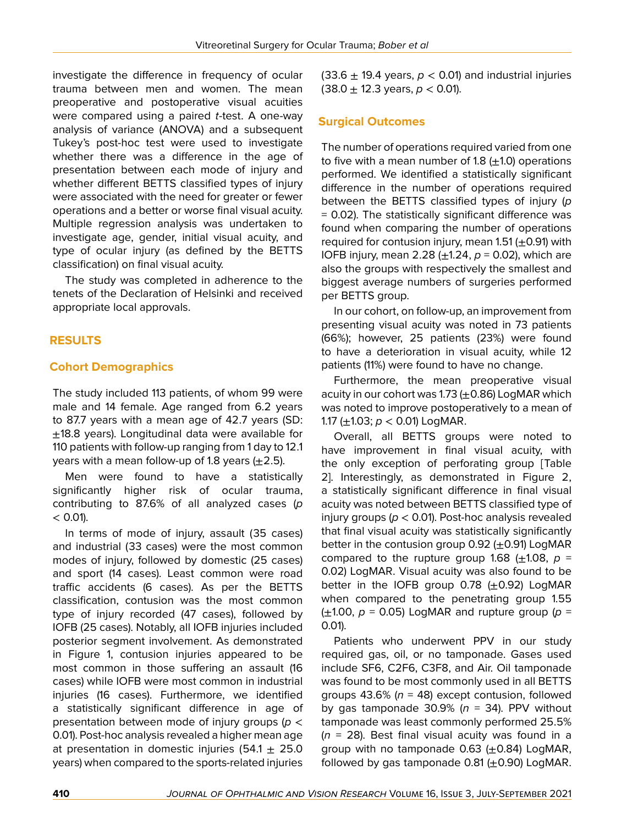investigate the difference in frequency of ocular trauma between men and women. The mean preoperative and postoperative visual acuities were compared using a paired *t*-test. A one-way analysis of variance (ANOVA) and a subsequent Tukey's post-hoc test were used to investigate whether there was a difference in the age of presentation between each mode of injury and whether different BETTS classified types of injury were associated with the need for greater or fewer operations and a better or worse final visual acuity. Multiple regression analysis was undertaken to investigate age, gender, initial visual acuity, and type of ocular injury (as defined by the BETTS classification) on final visual acuity.

The study was completed in adherence to the tenets of the Declaration of Helsinki and received appropriate local approvals.

# **RESULTS**

## **Cohort Demographics**

The study included 113 patients, of whom 99 were male and 14 female. Age ranged from 6.2 years to 87.7 years with a mean age of 42.7 years (SD:  $±18.8$  years). Longitudinal data were available for 110 patients with follow-up ranging from 1 day to 12.1 years with a mean follow-up of 1.8 years  $(\pm 2.5)$ .

Men were found to have a statistically significantly higher risk of ocular trauma, contributing to 87.6% of all analyzed cases (*p*  $< 0.01$ ).

In terms of mode of injury, assault (35 cases) and industrial (33 cases) were the most common modes of injury, followed by domestic (25 cases) and sport (14 cases). Least common were road traffic accidents (6 cases). As per the BETTS classification, contusion was the most common type of injury recorded (47 cases), followed by IOFB (25 cases). Notably, all IOFB injuries included posterior segment involvement. As demonstrated in Figure 1, contusion injuries appeared to be most common in those suffering an assault (16 cases) while IOFB were most common in industrial injuries (16 cases). Furthermore, we identified a statistically significant difference in age of presentation between mode of injury groups (*p* < 0.01). Post-hoc analysis revealed a higher mean age at presentation in domestic injuries (54.1  $\pm$  25.0 years) when compared to the sports-related injuries

(33.6  $\pm$  19.4 years,  $p < 0.01$ ) and industrial injuries  $(38.0 \pm 12.3 \text{ years}, p < 0.01)$ .

# **Surgical Outcomes**

The number of operations required varied from one to five with a mean number of 1.8  $(\pm 1.0)$  operations performed. We identified a statistically significant difference in the number of operations required between the BETTS classified types of injury (*p* = 0.02). The statistically significant difference was found when comparing the number of operations required for contusion injury, mean  $1.51 (\pm 0.91)$  with IOFB injury, mean 2.28 (±1.24, *p* = 0.02), which are also the groups with respectively the smallest and biggest average numbers of surgeries performed per BETTS group.

In our cohort, on follow-up, an improvement from presenting visual acuity was noted in 73 patients (66%); however, 25 patients (23%) were found to have a deterioration in visual acuity, while 12 patients (11%) were found to have no change.

Furthermore, the mean preoperative visual acuity in our cohort was 1.73  $(\pm 0.86)$  LogMAR which was noted to improve postoperatively to a mean of 1.17 (±1.03; *p* < 0.01) LogMAR.

Overall, all BETTS groups were noted to have improvement in final visual acuity, with the only exception of perforating group [Table 2]. Interestingly, as demonstrated in Figure 2, a statistically significant difference in final visual acuity was noted between BETTS classified type of injury groups (*p* < 0.01). Post-hoc analysis revealed that final visual acuity was statistically significantly better in the contusion group  $0.92$  ( $\pm$ 0.91) LogMAR compared to the rupture group 1.68  $(\pm 1.08, p =$ 0.02) LogMAR. Visual acuity was also found to be better in the IOFB group 0.78  $(\pm 0.92)$  LogMAR when compared to the penetrating group 1.55  $(\pm 1.00, p = 0.05)$  LogMAR and rupture group ( $p =$ 0.01).

Patients who underwent PPV in our study required gas, oil, or no tamponade. Gases used include SF6, C2F6, C3F8, and Air. Oil tamponade was found to be most commonly used in all BETTS groups 43.6% (*n* = 48) except contusion, followed by gas tamponade  $30.9\%$  ( $n = 34$ ). PPV without tamponade was least commonly performed 25.5% (*n* = 28). Best final visual acuity was found in a group with no tamponade  $0.63$  ( $\pm$ 0.84) LogMAR, followed by gas tamponade  $0.81$  ( $\pm$ 0.90) LogMAR.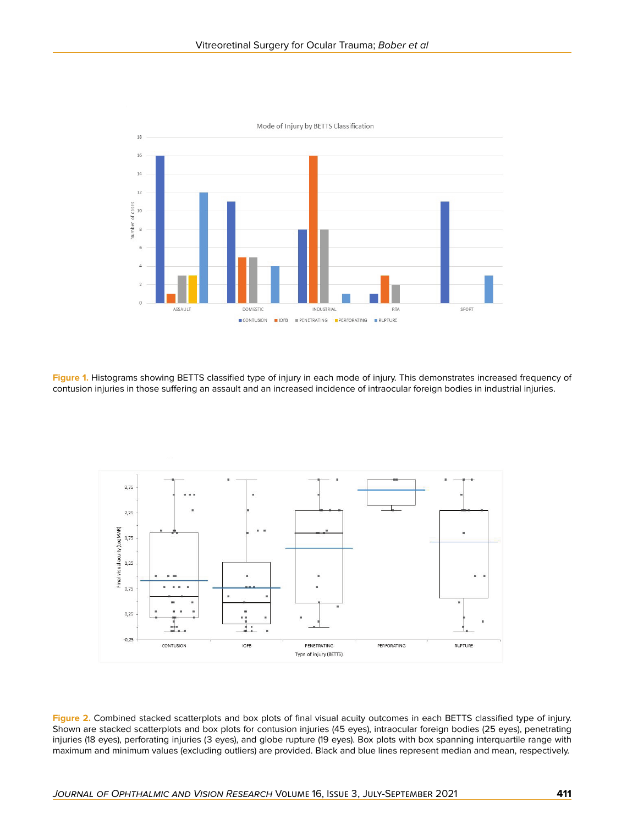

**Figure 1.** Histograms showing BETTS classified type of injury in each mode of injury. This demonstrates increased frequency of contusion injuries in those suffering an assault and an increased incidence of intraocular foreign bodies in industrial injuries.



**Figure 2.** Combined stacked scatterplots and box plots of final visual acuity outcomes in each BETTS classified type of injury. Shown are stacked scatterplots and box plots for contusion injuries (45 eyes), intraocular foreign bodies (25 eyes), penetrating injuries (18 eyes), perforating injuries (3 eyes), and globe rupture (19 eyes). Box plots with box spanning interquartile range with maximum and minimum values (excluding outliers) are provided. Black and blue lines represent median and mean, respectively.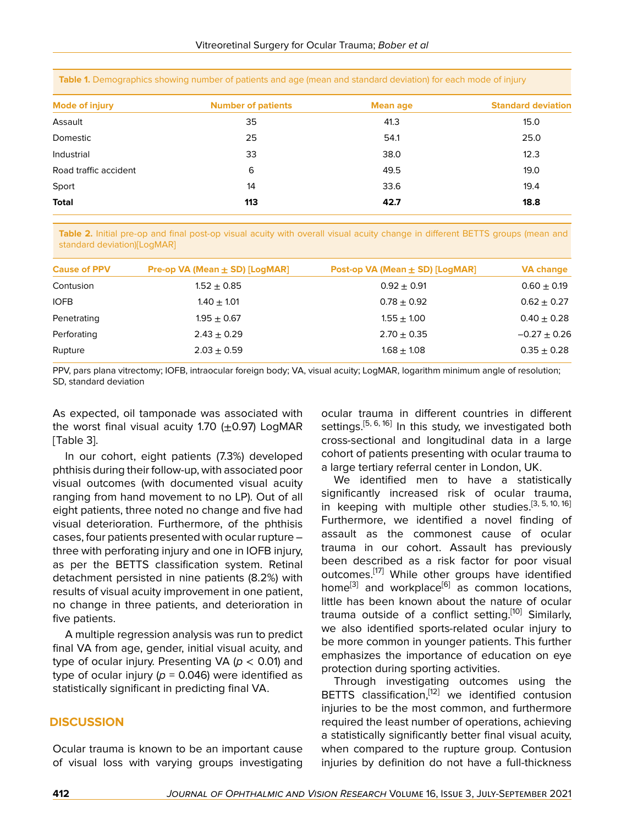| <b>Mode of injury</b> | <b>Number of patients</b> | Mean age | <b>Standard deviation</b> |
|-----------------------|---------------------------|----------|---------------------------|
| Assault               | 35                        | 41.3     | 15.0                      |
| Domestic              | 25                        | 54.1     | 25.0                      |
| Industrial            | 33                        | 38.0     | 12.3                      |
| Road traffic accident | 6                         | 49.5     | 19.0                      |
| Sport                 | 14                        | 33.6     | 19.4                      |
| <b>Total</b>          | 113                       | 42.7     | 18.8                      |

**Table 1.** Demographics showing number of patients and age (mean and standard deviation) for each mode of injury

**Table 2.** Initial pre-op and final post-op visual acuity with overall visual acuity change in different BETTS groups (mean and standard deviation)[LogMAR]

| <b>Cause of PPV</b> | Pre-op VA (Mean $\pm$ SD) [LogMAR] | Post-op VA (Mean ± SD) [LogMAR] | <b>VA change</b> |
|---------------------|------------------------------------|---------------------------------|------------------|
| Contusion           | $1.52 + 0.85$                      | $0.92 + 0.91$                   | $0.60 + 0.19$    |
| <b>IOFB</b>         | $1.40 + 1.01$                      | $0.78 + 0.92$                   | $0.62 \pm 0.27$  |
| Penetrating         | $1.95 + 0.67$                      | $1.55 + 1.00$                   | $0.40 \pm 0.28$  |
| Perforating         | $2.43 + 0.29$                      | $2.70 + 0.35$                   | $-0.27 + 0.26$   |
| Rupture             | $2.03 + 0.59$                      | $1.68 + 1.08$                   | $0.35 \pm 0.28$  |

PPV, pars plana vitrectomy; IOFB, intraocular foreign body; VA, visual acuity; LogMAR, logarithm minimum angle of resolution; SD, standard deviation

As expected, oil tamponade was associated with the worst final visual acuity 1.70  $(+0.97)$  LogMAR [Table 3].

In our cohort, eight patients (7.3%) developed phthisis during their follow-up, with associated poor visual outcomes (with documented visual acuity ranging from hand movement to no LP). Out of all eight patients, three noted no change and five had visual deterioration. Furthermore, of the phthisis cases, four patients presented with ocular rupture – three with perforating injury and one in IOFB injury, as per the BETTS classification system. Retinal detachment persisted in nine patients (8.2%) with results of visual acuity improvement in one patient, no change in three patients, and deterioration in five patients.

A multiple regression analysis was run to predict final VA from age, gender, initial visual acuity, and type of ocular injury. Presenting VA (*p* < 0.01) and type of ocular injury ( $p = 0.046$ ) were identified as statistically significant in predicting final VA.

#### **DISCUSSION**

Ocular trauma is known to be an important cause of visual loss with varying groups investigating

ocular trauma in different countries in different settings.<sup>[[5](#page-6-4), [6](#page-6-5), [16](#page-6-14)]</sup> In this study, we investigated both cross-sectional and longitudinal data in a large cohort of patients presenting with ocular trauma to a large tertiary referral center in London, UK.

We identified men to have a statistically significantly increased risk of ocular trauma, in keeping with multiple other studies.<sup>[[3](#page-6-2), [5](#page-6-4), [10](#page-6-8), [16](#page-6-14)]</sup> Furthermore, we identified a novel finding of assault as the commonest cause of ocular trauma in our cohort. Assault has previously been described as a risk factor for poor visual outcomes.<sup>[\[17\]](#page-6-15)</sup> While other groups have identified home<sup>[[3](#page-6-2)]</sup> and workplace<sup>[[6](#page-6-5)]</sup> as common locations, little has been known about the nature of ocular trauma outside of a conflict setting.<sup>[[10](#page-6-8)]</sup> Similarly, we also identified sports-related ocular injury to be more common in younger patients. This further emphasizes the importance of education on eye protection during sporting activities.

Through investigating outcomes using the BETTS classification,<sup>[[12](#page-6-10)]</sup> we identified contusion injuries to be the most common, and furthermore required the least number of operations, achieving a statistically significantly better final visual acuity, when compared to the rupture group. Contusion injuries by definition do not have a full-thickness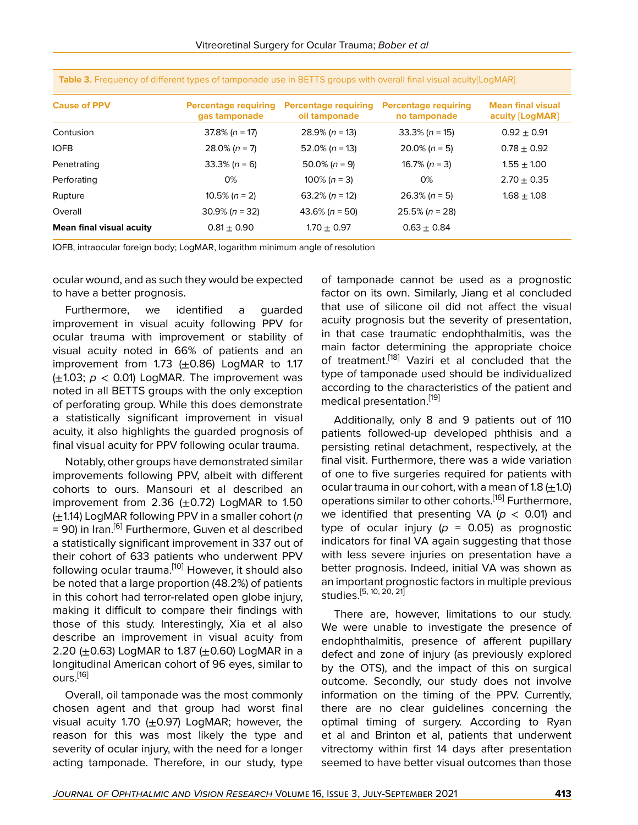| <b>Cause of PPV</b>             | <b>Percentage requiring</b><br>gas tamponade | <b>Percentage requiring</b><br>oil tamponade | <b>Percentage requiring</b><br>no tamponade | <b>Mean final visual</b><br>acuity [LogMAR] |
|---------------------------------|----------------------------------------------|----------------------------------------------|---------------------------------------------|---------------------------------------------|
| Contusion                       | $37.8\%$ (n = 17)                            | $28.9\%$ (n = 13)                            | $33.3\%$ (n = 15)                           | $0.92 \pm 0.91$                             |
| <b>IOFB</b>                     | $28.0\%$ (n = 7)                             | $52.0\%$ (n = 13)                            | $20.0\%$ (n = 5)                            | $0.78 \pm 0.92$                             |
| Penetrating                     | $33.3\% (n = 6)$                             | 50.0% $(n = 9)$                              | 16.7% ( $n = 3$ )                           | $1.55 \pm 1.00$                             |
| Perforating                     | 0%                                           | 100% ( $n = 3$ )                             | 0%                                          | $2.70 \pm 0.35$                             |
| Rupture                         | 10.5% $(n = 2)$                              | 63.2% ( $n = 12$ )                           | $26.3\% (n = 5)$                            | $1.68 \pm 1.08$                             |
| Overall                         | $30.9\%$ (n = 32)                            | $43.6\%$ (n = 50)                            | $25.5\%$ (n = 28)                           |                                             |
| <b>Mean final visual acuity</b> | $0.81 \pm 0.90$                              | $1.70 \pm 0.97$                              | $0.63 \pm 0.84$                             |                                             |

**Table 3.** Frequency of different types of tamponade use in BETTS groups with overall final visual acuity[LogMAR]

IOFB, intraocular foreign body; LogMAR, logarithm minimum angle of resolution

ocular wound, and as such they would be expected to have a better prognosis.

Furthermore, we identified a guarded improvement in visual acuity following PPV for ocular trauma with improvement or stability of visual acuity noted in 66% of patients and an improvement from 1.73  $(+0.86)$  LogMAR to 1.17  $(\pm 1.03; p < 0.01)$  LogMAR. The improvement was noted in all BETTS groups with the only exception of perforating group. While this does demonstrate a statistically significant improvement in visual acuity, it also highlights the guarded prognosis of final visual acuity for PPV following ocular trauma.

Notably, other groups have demonstrated similar improvements following PPV, albeit with different cohorts to ours. Mansouri et al described an improvement from 2.36  $(+0.72)$  LogMAR to 1.50 (±1.14) LogMAR following PPV in a smaller cohort (*n* = 90) in Iran.<sup>[[6](#page-6-5)]</sup> Furthermore, Guven et al described a statistically significant improvement in 337 out of their cohort of 633 patients who underwent PPV following ocular trauma.<sup>[[10](#page-6-8)]</sup> However, it should also be noted that a large proportion (48.2%) of patients in this cohort had terror-related open globe injury, making it difficult to compare their findings with those of this study. Interestingly, Xia et al also describe an improvement in visual acuity from 2.20 ( $\pm$ 0.63) LogMAR to 1.87 ( $\pm$ 0.60) LogMAR in a longitudinal American cohort of 96 eyes, similar to ours.<sup>[[16](#page-6-14)]</sup>

Overall, oil tamponade was the most commonly chosen agent and that group had worst final visual acuity 1.70  $(+0.97)$  LogMAR; however, the reason for this was most likely the type and severity of ocular injury, with the need for a longer acting tamponade. Therefore, in our study, type

of tamponade cannot be used as a prognostic factor on its own. Similarly, Jiang et al concluded that use of silicone oil did not affect the visual acuity prognosis but the severity of presentation, in that case traumatic endophthalmitis, was the main factor determining the appropriate choice of treatment.<sup>[[18\]](#page-6-16)</sup> Vaziri et al concluded that the type of tamponade used should be individualized according to the characteristics of the patient and medical presentation.[\[19\]](#page-6-17)

Additionally, only 8 and 9 patients out of 110 patients followed-up developed phthisis and a persisting retinal detachment, respectively, at the final visit. Furthermore, there was a wide variation of one to five surgeries required for patients with ocular trauma in our cohort, with a mean of 1.8  $(\pm 1.0)$ operations similar to other cohorts.<sup>[[16](#page-6-14)]</sup> Furthermore, we identified that presenting  $VA$  ( $p < 0.01$ ) and type of ocular injury  $(p = 0.05)$  as prognostic indicators for final VA again suggesting that those with less severe injuries on presentation have a better prognosis. Indeed, initial VA was shown as an important prognostic factors in multiple previous studies.[\[5,](#page-6-4) [10,](#page-6-8) [20,](#page-6-18) [21\]](#page-6-19)

There are, however, limitations to our study. We were unable to investigate the presence of endophthalmitis, presence of afferent pupillary defect and zone of injury (as previously explored by the OTS), and the impact of this on surgical outcome. Secondly, our study does not involve information on the timing of the PPV. Currently, there are no clear guidelines concerning the optimal timing of surgery. According to Ryan et al and Brinton et al, patients that underwent vitrectomy within first 14 days after presentation seemed to have better visual outcomes than those